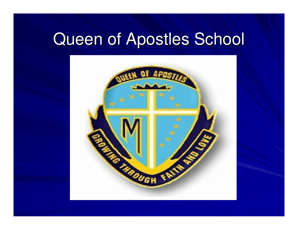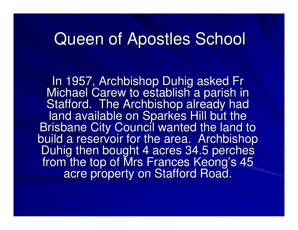In 1957, Archbishop Duhig asked Fr<br>"Jieheel Carew te establish e parish in Michael Carew to establish a parish in Stafford. The Archbishop already had land available on Sparkes Hill but the<br>siehene City Ceuneil wested the land to Brisbane City Council wanted the land to build a reservoir for the area. Archbishop Duhig then bought 4 acres 34.5 perches from the top of Mrs Frances Keong's <sup>45</sup> acre property on Stafford Road.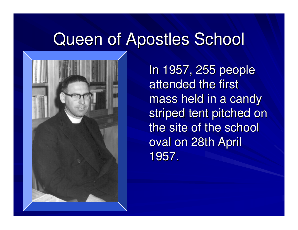

In 1957, 255 people attended the first mass held in a candy striped tent pitched on the site of the school oval on 28th April 1957.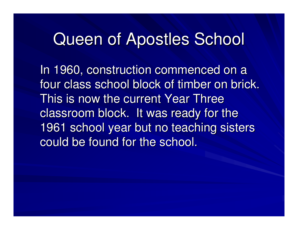In 1960, construction commenced on a four class school block of timber on brick. This is now the current Year Three classroom block. It was ready for the 1961 school year but no teaching sisters could be found for the school.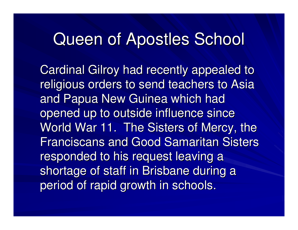Cardinal Gilroy had recently appealed to religious orders to send teachers to Asia and Papua New Guinea which had opened up to outside influence since World War 11. The Sisters of Mercy, the Franciscans and Good Samaritan Sisters responded to his request leaving a shortage of staff in Brisbane during a period of rapid growth in schools.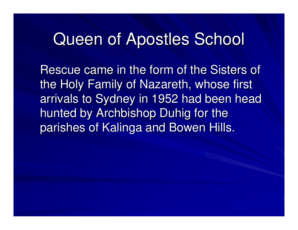Rescue came in the form of the Sisters of the Holy Family of Nazareth, whose first arrivals to Sydney in 1952 had been head hunted by Archbishop Duhig for the parishes of Kalinga and Bowen Hills.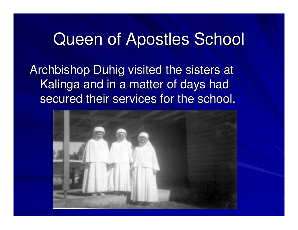Archbishop Duhig visited the sisters at Kalinga and in a matter of days had secured their services for the school.

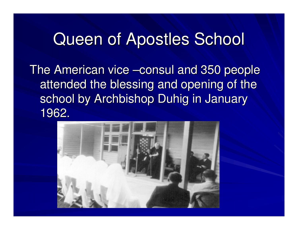The American vice –consul and 350 people attended the blessing and opening of the school by Archbishop Duhig in January 1962.

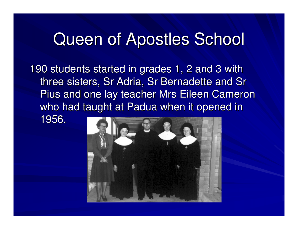190 students started in grades 1, 2 and 3 with three sisters, Sr Adria, Sr Bernadette and Sr Pius and one lay teacher Mrs Eileen Cameron who had taught at Padua when it opened in

1956.

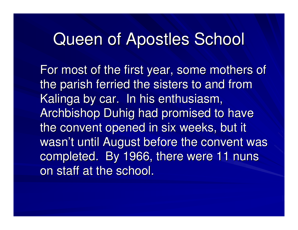For most of the first year, some mothers of the parish ferried the sisters to and from Kalinga by car. In his enthusiasm, Archbishop Duhig had promised to have the convent opened in six weeks, but it wasn't until August before the convent was completed. By 1966, there were 11 nuns on staff at the school.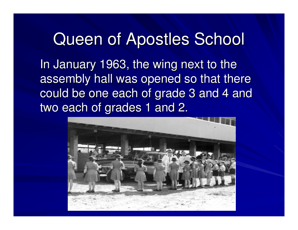In January 1963, the wing next to the assembly hall was opened so that there could be one each of grade 3 and 4 and two each of grades 1 and 2.

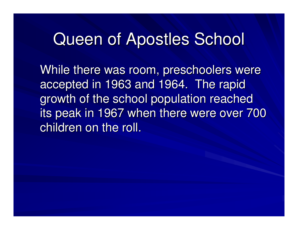While there was room, preschoolers were accepted in 1963 and 1964. The rapid growth of the school population reached its peak in 1967 when there were over 700 children on the roll.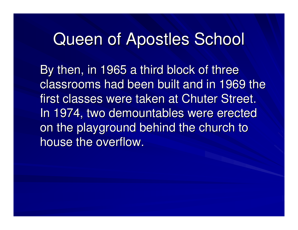By then, in 1965 a third block of three classrooms had been built and in 1969 the first classes were taken at Chuter Street. In 1974, two demountables were erected on the playground behind the church to house the overflow.